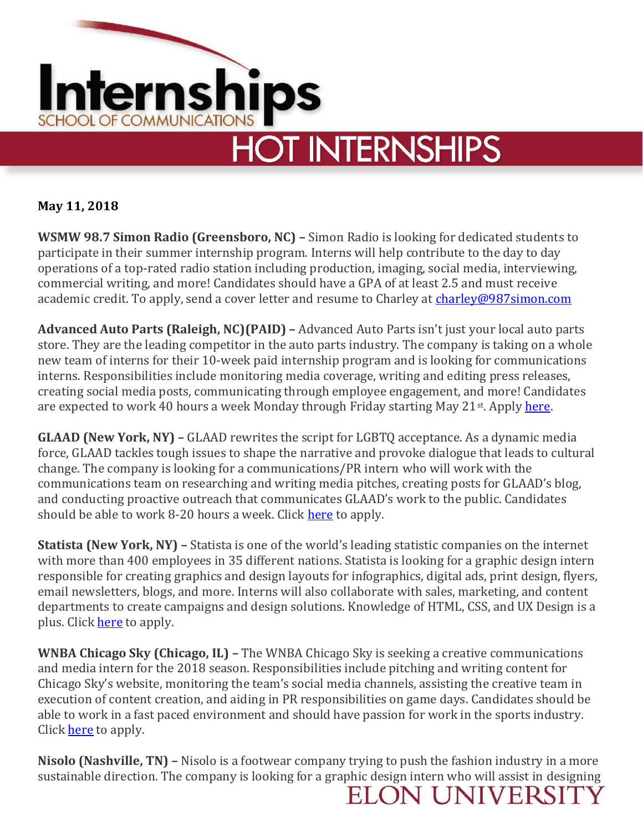

**May 11, 2018**

**WSMW 98.7 Simon Radio (Greensboro, NC) –** Simon Radio is looking for dedicated students to participate in their summer internship program. Interns will help contribute to the day to day operations of a top-rated radio station including production, imaging, social media, interviewing, commercial writing, and more! Candidates should have a GPA of at least 2.5 and must receive academic credit. To apply, send a cover letter and resume to Charley at [charley@987simon.com](mailto:charley@987simon.com)

**Advanced Auto Parts (Raleigh, NC)(PAID) –** Advanced Auto Parts isn't just your local auto parts store. They are the leading competitor in the auto parts industry. The company is taking on a whole new team of interns for their 10-week paid internship program and is looking for communications interns. Responsibilities include monitoring media coverage, writing and editing press releases, creating social media posts, communicating through employee engagement, and more! Candidates are expected to work 40 hours a week Monday through Friday starting May 21<sup>st</sup>. Apply [here.](https://www.advanceautoparts.jobs/job/communications-intern/J3S6KX6NZ7ZPV2LV2QG?source=Scrape&sourceType=LINKEDIN)

**GLAAD (New York, NY) –** GLAAD rewrites the script for LGBTQ acceptance. As a dynamic media force, GLAAD tackles tough issues to shape the narrative and provoke dialogue that leads to cultural change. The company is looking for a communications/PR intern who will work with the communications team on researching and writing media pitches, creating posts for GLAAD's blog, and conducting proactive outreach that communicates GLAAD's work to the public. Candidates should be able to work 8-20 hours a week. Click [here](https://www.glaad.org/job/communicationspr-internship-new-york-0?utm_campaign=google_jobs_apply&utm_source=google_jobs_apply&utm_medium=organic) to apply.

**Statista (New York, NY) –** Statista is one of the world's leading statistic companies on the internet with more than 400 employees in 35 different nations. Statista is looking for a graphic design intern responsible for creating graphics and design layouts for infographics, digital ads, print design, flyers, email newsletters, blogs, and more. Interns will also collaborate with sales, marketing, and content departments to create campaigns and design solutions. Knowledge of HTML, CSS, and UX Design is a plus. Clic[k here](https://www.glassdoor.com/job-listing/graphic-design-intern-statista-JV_IC1132348_KO0,21_KE22,30.htm?jl=2319842703&utm_campaign=google_jobs_apply&utm_source=google_jobs_apply&utm_medium=organic) to apply.

**WNBA Chicago Sky (Chicago, IL) –** The WNBA Chicago Sky is seeking a creative communications and media intern for the 2018 season. Responsibilities include pitching and writing content for Chicago Sky's website, monitoring the team's social media channels, assisting the creative team in execution of content creation, and aiding in PR responsibilities on game days. Candidates should be able to work in a fast paced environment and should have passion for work in the sports industry. Clic[k here](http://www.jobmonkeyjobs.com/career/17085796/Pr-Communications-Intern-Illinois-Chicago?utm_campaign=google_jobs_apply&utm_source=google_jobs_apply&utm_medium=organic) to apply.

**Nisolo (Nashville, TN) –** Nisolo is a footwear company trying to push the fashion industry in a more sustainable direction. The company is looking for a graphic design intern who will assist in designing

**ELON UNIVERSIT**